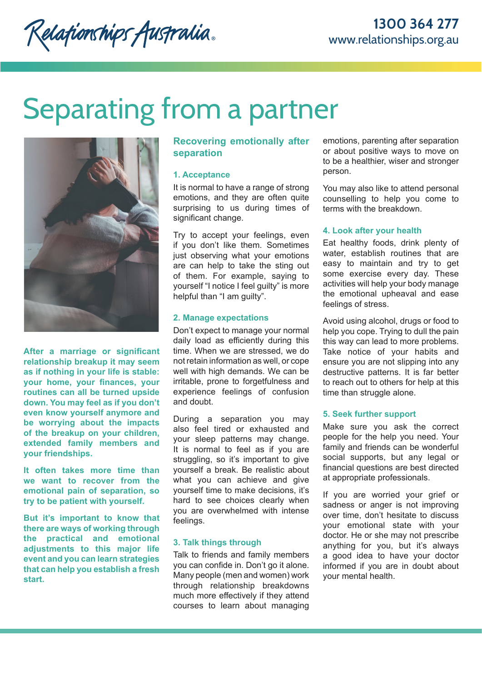Relationships Australia.

# Separating from a partner



**After a marriage or significant relationship breakup it may seem as if nothing in your life is stable: your home, your finances, your routines can all be turned upside down. You may feel as if you don't even know yourself anymore and be worrying about the impacts of the breakup on your children, extended family members and your friendships.**

**It often takes more time than we want to recover from the emotional pain of separation, so try to be patient with yourself.** 

**But it's important to know that there are ways of working through the practical and emotional adjustments to this major life event and you can learn strategies that can help you establish a fresh start.** 

# **Recovering emotionally after separation**

#### **1. Acceptance**

It is normal to have a range of strong emotions, and they are often quite surprising to us during times of significant change.

Try to accept your feelings, even if you don't like them. Sometimes just observing what your emotions are can help to take the sting out of them. For example, saying to yourself "I notice I feel guilty" is more helpful than "I am guilty".

#### **2. Manage expectations**

Don't expect to manage your normal daily load as efficiently during this time. When we are stressed, we do not retain information as well, or cope well with high demands. We can be irritable, prone to forgetfulness and experience feelings of confusion and doubt.

During a separation you may also feel tired or exhausted and your sleep patterns may change. It is normal to feel as if you are struggling, so it's important to give yourself a break. Be realistic about what you can achieve and give yourself time to make decisions, it's hard to see choices clearly when you are overwhelmed with intense feelings.

#### **3. Talk things through**

Talk to friends and family members you can confide in. Don't go it alone. Many people (men and women) work through relationship breakdowns much more effectively if they attend courses to learn about managing

emotions, parenting after separation or about positive ways to move on to be a healthier, wiser and stronger person.

You may also like to attend personal counselling to help you come to terms with the breakdown.

#### **4. Look after your health**

Eat healthy foods, drink plenty of water, establish routines that are easy to maintain and try to get some exercise every day. These activities will help your body manage the emotional upheaval and ease feelings of stress.

Avoid using alcohol, drugs or food to help you cope. Trying to dull the pain this way can lead to more problems. Take notice of your habits and ensure you are not slipping into any destructive patterns. It is far better to reach out to others for help at this time than struggle alone.

#### **5. Seek further support**

Make sure you ask the correct people for the help you need. Your family and friends can be wonderful social supports, but any legal or financial questions are best directed at appropriate professionals.

If you are worried your grief or sadness or anger is not improving over time, don't hesitate to discuss your emotional state with your doctor. He or she may not prescribe anything for you, but it's always a good idea to have your doctor informed if you are in doubt about your mental health.